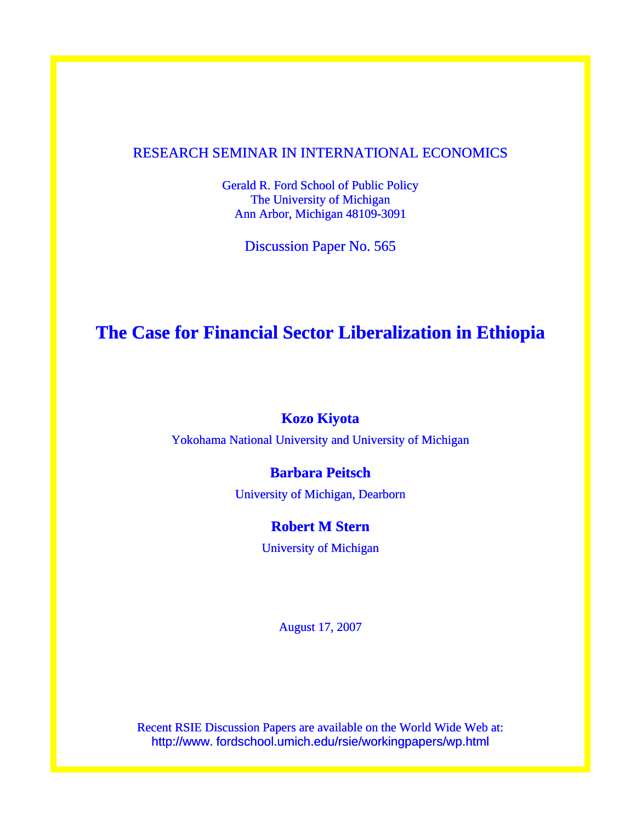## RESEARCH SEMINAR IN INTERNATIONAL ECONOMICS

Gerald R. Ford School of Public Policy The University of Michigan Ann Arbor, Michigan 48109-3091

Discussion Paper No. 565

# **The Case for Financial Sector Liberalization in Ethiopia**

## **Kozo Kiyota**

Yokohama National University and University of Michigan

## **Barbara Peitsch**

University of Michigan, Dearborn

## **Robert M Stern**

University of Michigan

August 17, 2007

Recent RSIE Discussion Papers are available on the World Wide Web at: http://www. fordschool.umich.edu/rsie/workingpapers/wp.html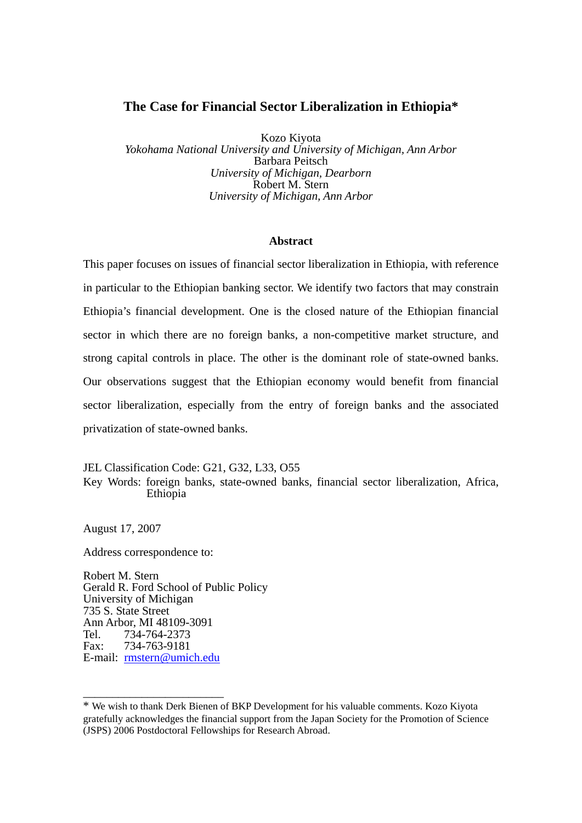## **The Case for Financial Sector Liberalization in Ethiopia\***

Kozo Kiyota *Yokohama National University and University of Michigan, Ann Arbor*  Barbara Peitsch *University of Michigan, Dearborn*  Robert M. Stern *University of Michigan, Ann Arbor* 

#### **Abstract**

This paper focuses on issues of financial sector liberalization in Ethiopia, with reference in particular to the Ethiopian banking sector. We identify two factors that may constrain Ethiopia's financial development. One is the closed nature of the Ethiopian financial sector in which there are no foreign banks, a non-competitive market structure, and strong capital controls in place. The other is the dominant role of state-owned banks. Our observations suggest that the Ethiopian economy would benefit from financial sector liberalization, especially from the entry of foreign banks and the associated privatization of state-owned banks.

JEL Classification Code: G21, G32, L33, O55

Key Words: foreign banks, state-owned banks, financial sector liberalization, Africa, Ethiopia

August 17, 2007

Address correspondence to:

\_\_\_\_\_\_\_\_\_\_\_\_\_\_\_\_\_\_\_\_\_\_\_\_

Robert M. Stern Gerald R. Ford School of Public Policy University of Michigan 735 S. State Street Ann Arbor, MI 48109-3091 Tel. 734-764-2373 Fax: 734-763-9181 E-mail: [rmstern@umich.edu](mailto:rmstern@umich.edu)

<sup>\*</sup> We wish to thank Derk Bienen of BKP Development for his valuable comments. Kozo Kiyota gratefully acknowledges the financial support from the Japan Society for the Promotion of Science (JSPS) 2006 Postdoctoral Fellowships for Research Abroad.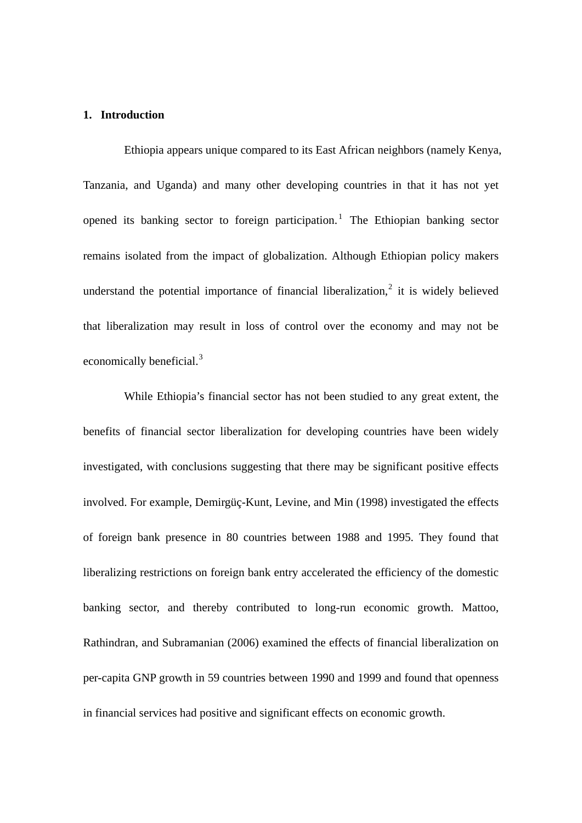### **1. Introduction**

Ethiopia appears unique compared to its East African neighbors (namely Kenya, Tanzania, and Uganda) and many other developing countries in that it has not yet opened its banking sector to foreign participation.<sup>[1](#page-27-0)</sup> The Ethiopian banking sector remains isolated from the impact of globalization. Although Ethiopian policy makers understand the potential importance of financial liberalization, $2$  it is widely believed that liberalization may result in loss of control over the economy and may not be economically beneficial.<sup>[3](#page-27-1)</sup>

While Ethiopia's financial sector has not been studied to any great extent, the benefits of financial sector liberalization for developing countries have been widely investigated, with conclusions suggesting that there may be significant positive effects involved. For example, Demirgüç-Kunt, Levine, and Min (1998) investigated the effects of foreign bank presence in 80 countries between 1988 and 1995. They found that liberalizing restrictions on foreign bank entry accelerated the efficiency of the domestic banking sector, and thereby contributed to long-run economic growth. Mattoo, Rathindran, and Subramanian (2006) examined the effects of financial liberalization on per-capita GNP growth in 59 countries between 1990 and 1999 and found that openness in financial services had positive and significant effects on economic growth.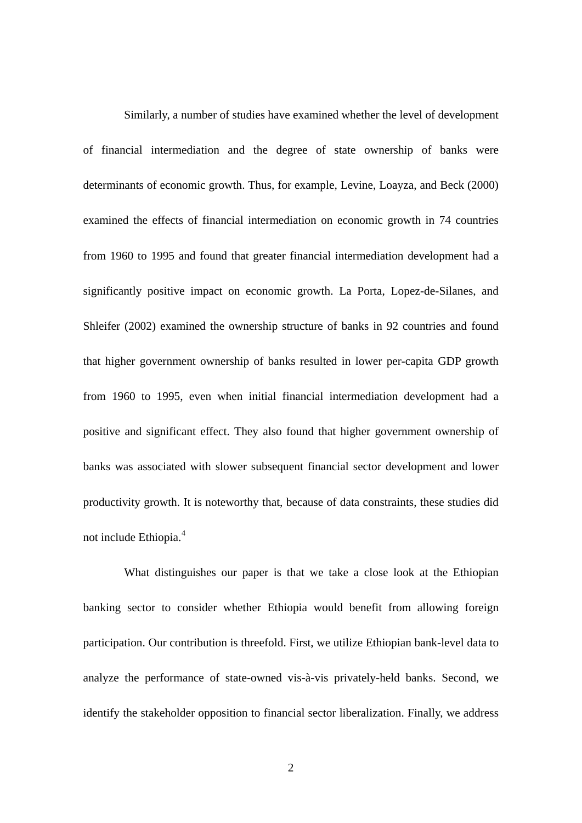Similarly, a number of studies have examined whether the level of development of financial intermediation and the degree of state ownership of banks were determinants of economic growth. Thus, for example, Levine, Loayza, and Beck (2000) examined the effects of financial intermediation on economic growth in 74 countries from 1960 to 1995 and found that greater financial intermediation development had a significantly positive impact on economic growth. La Porta, Lopez-de-Silanes, and Shleifer (2002) examined the ownership structure of banks in 92 countries and found that higher government ownership of banks resulted in lower per-capita GDP growth from 1960 to 1995, even when initial financial intermediation development had a positive and significant effect. They also found that higher government ownership of banks was associated with slower subsequent financial sector development and lower productivity growth. It is noteworthy that, because of data constraints, these studies did not include Ethiopia.<sup>[4](#page-27-1)</sup>

What distinguishes our paper is that we take a close look at the Ethiopian banking sector to consider whether Ethiopia would benefit from allowing foreign participation. Our contribution is threefold. First, we utilize Ethiopian bank-level data to analyze the performance of state-owned vis-à-vis privately-held banks. Second, we identify the stakeholder opposition to financial sector liberalization. Finally, we address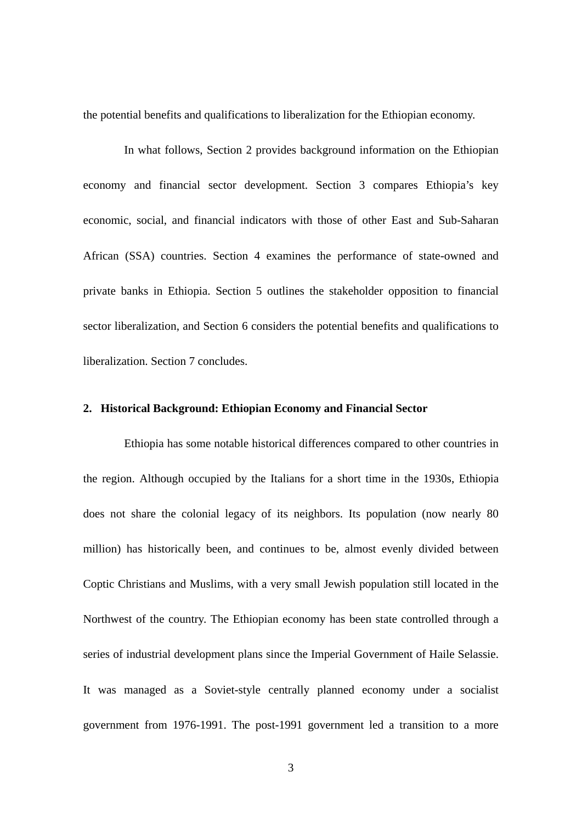the potential benefits and qualifications to liberalization for the Ethiopian economy.

In what follows, Section 2 provides background information on the Ethiopian economy and financial sector development. Section 3 compares Ethiopia's key economic, social, and financial indicators with those of other East and Sub-Saharan African (SSA) countries. Section 4 examines the performance of state-owned and private banks in Ethiopia. Section 5 outlines the stakeholder opposition to financial sector liberalization, and Section 6 considers the potential benefits and qualifications to liberalization. Section 7 concludes.

#### **2. Historical Background: Ethiopian Economy and Financial Sector**

Ethiopia has some notable historical differences compared to other countries in the region. Although occupied by the Italians for a short time in the 1930s, Ethiopia does not share the colonial legacy of its neighbors. Its population (now nearly 80 million) has historically been, and continues to be, almost evenly divided between Coptic Christians and Muslims, with a very small Jewish population still located in the Northwest of the country. The Ethiopian economy has been state controlled through a series of industrial development plans since the Imperial Government of Haile Selassie. It was managed as a Soviet-style centrally planned economy under a socialist government from 1976-1991. The post-1991 government led a transition to a more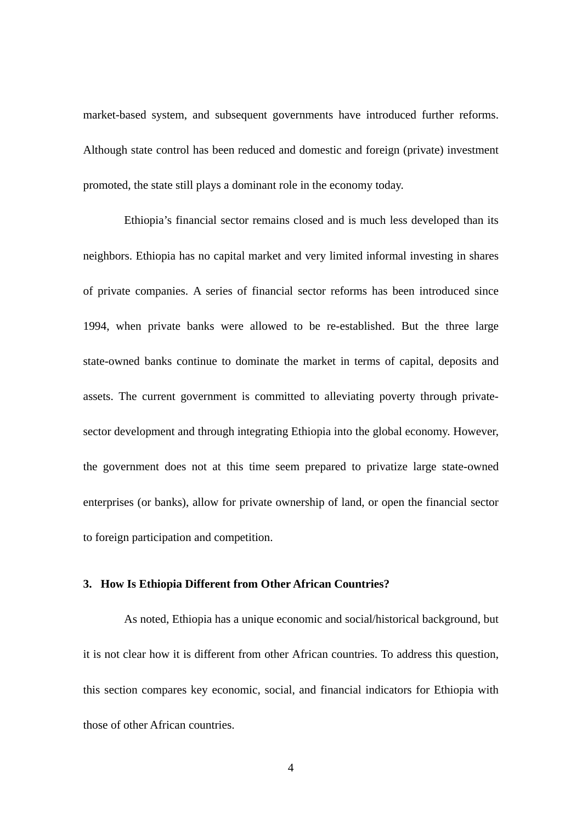market-based system, and subsequent governments have introduced further reforms. Although state control has been reduced and domestic and foreign (private) investment promoted, the state still plays a dominant role in the economy today.

Ethiopia's financial sector remains closed and is much less developed than its neighbors. Ethiopia has no capital market and very limited informal investing in shares of private companies. A series of financial sector reforms has been introduced since 1994, when private banks were allowed to be re-established. But the three large state-owned banks continue to dominate the market in terms of capital, deposits and assets. The current government is committed to alleviating poverty through privatesector development and through integrating Ethiopia into the global economy. However, the government does not at this time seem prepared to privatize large state-owned enterprises (or banks), allow for private ownership of land, or open the financial sector to foreign participation and competition.

#### **3. How Is Ethiopia Different from Other African Countries?**

As noted, Ethiopia has a unique economic and social/historical background, but it is not clear how it is different from other African countries. To address this question, this section compares key economic, social, and financial indicators for Ethiopia with those of other African countries.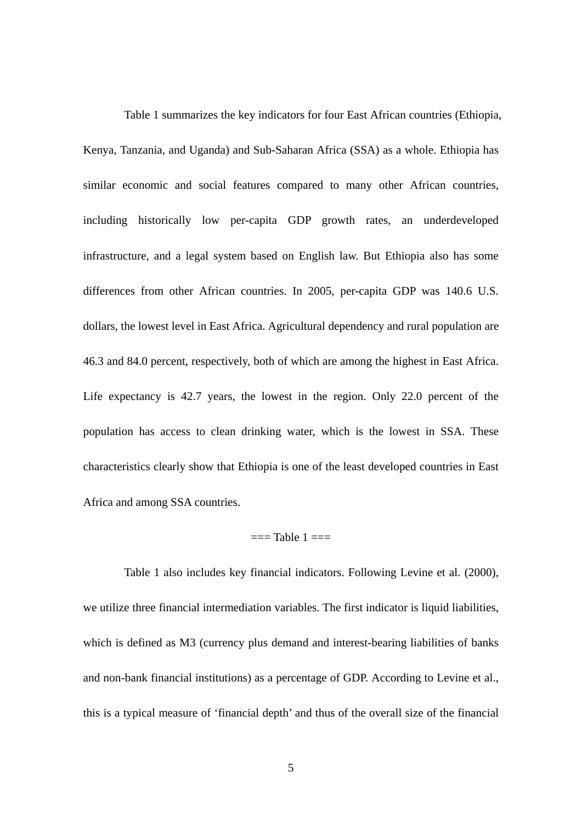Table 1 summarizes the key indicators for four East African countries (Ethiopia, Kenya, Tanzania, and Uganda) and Sub-Saharan Africa (SSA) as a whole. Ethiopia has similar economic and social features compared to many other African countries, including historically low per-capita GDP growth rates, an underdeveloped infrastructure, and a legal system based on English law. But Ethiopia also has some differences from other African countries. In 2005, per-capita GDP was 140.6 U.S. dollars, the lowest level in East Africa. Agricultural dependency and rural population are 46.3 and 84.0 percent, respectively, both of which are among the highest in East Africa. Life expectancy is 42.7 years, the lowest in the region. Only 22.0 percent of the population has access to clean drinking water, which is the lowest in SSA. These characteristics clearly show that Ethiopia is one of the least developed countries in East Africa and among SSA countries.

### $==$ Table  $1 ==$

Table 1 also includes key financial indicators. Following Levine et al. (2000), we utilize three financial intermediation variables. The first indicator is liquid liabilities, which is defined as M3 (currency plus demand and interest-bearing liabilities of banks and non-bank financial institutions) as a percentage of GDP. According to Levine et al., this is a typical measure of 'financial depth' and thus of the overall size of the financial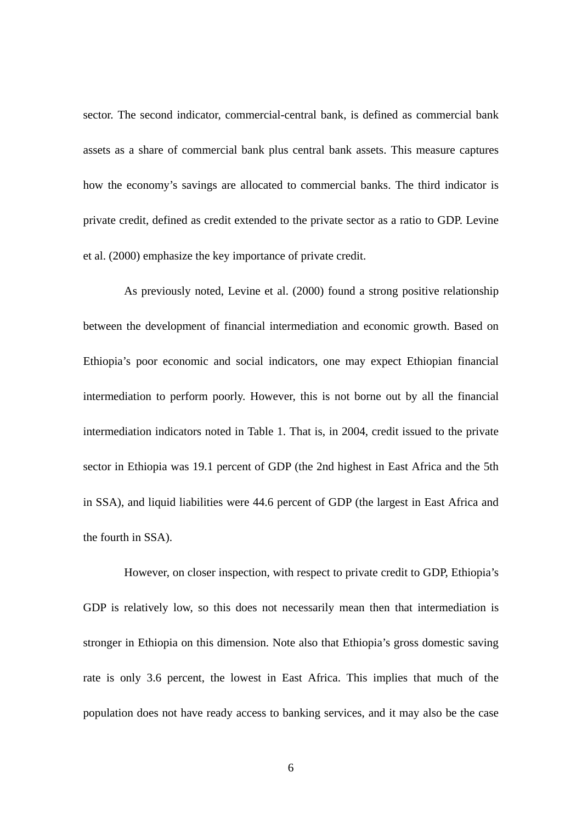sector. The second indicator, commercial-central bank, is defined as commercial bank assets as a share of commercial bank plus central bank assets. This measure captures how the economy's savings are allocated to commercial banks. The third indicator is private credit, defined as credit extended to the private sector as a ratio to GDP. Levine et al. (2000) emphasize the key importance of private credit.

As previously noted, Levine et al. (2000) found a strong positive relationship between the development of financial intermediation and economic growth. Based on Ethiopia's poor economic and social indicators, one may expect Ethiopian financial intermediation to perform poorly. However, this is not borne out by all the financial intermediation indicators noted in Table 1. That is, in 2004, credit issued to the private sector in Ethiopia was 19.1 percent of GDP (the 2nd highest in East Africa and the 5th in SSA), and liquid liabilities were 44.6 percent of GDP (the largest in East Africa and the fourth in SSA).

However, on closer inspection, with respect to private credit to GDP, Ethiopia's GDP is relatively low, so this does not necessarily mean then that intermediation is stronger in Ethiopia on this dimension. Note also that Ethiopia's gross domestic saving rate is only 3.6 percent, the lowest in East Africa. This implies that much of the population does not have ready access to banking services, and it may also be the case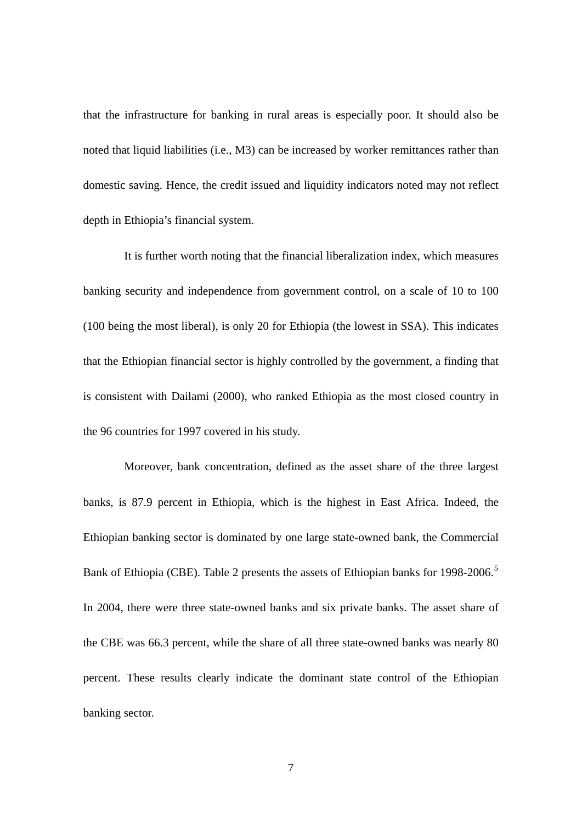that the infrastructure for banking in rural areas is especially poor. It should also be noted that liquid liabilities (i.e., M3) can be increased by worker remittances rather than domestic saving. Hence, the credit issued and liquidity indicators noted may not reflect depth in Ethiopia's financial system.

It is further worth noting that the financial liberalization index, which measures banking security and independence from government control, on a scale of 10 to 100 (100 being the most liberal), is only 20 for Ethiopia (the lowest in SSA). This indicates that the Ethiopian financial sector is highly controlled by the government, a finding that is consistent with Dailami (2000), who ranked Ethiopia as the most closed country in the 96 countries for 1997 covered in his study.

Moreover, bank concentration, defined as the asset share of the three largest banks, is 87.9 percent in Ethiopia, which is the highest in East Africa. Indeed, the Ethiopian banking sector is dominated by one large state-owned bank, the Commercial Bank of Ethiopia (CBE). Table 2 presents the assets of Ethiopian banks for 1998-2006.<sup>[5](#page-27-1)</sup> In 2004, there were three state-owned banks and six private banks. The asset share of the CBE was 66.3 percent, while the share of all three state-owned banks was nearly 80 percent. These results clearly indicate the dominant state control of the Ethiopian banking sector.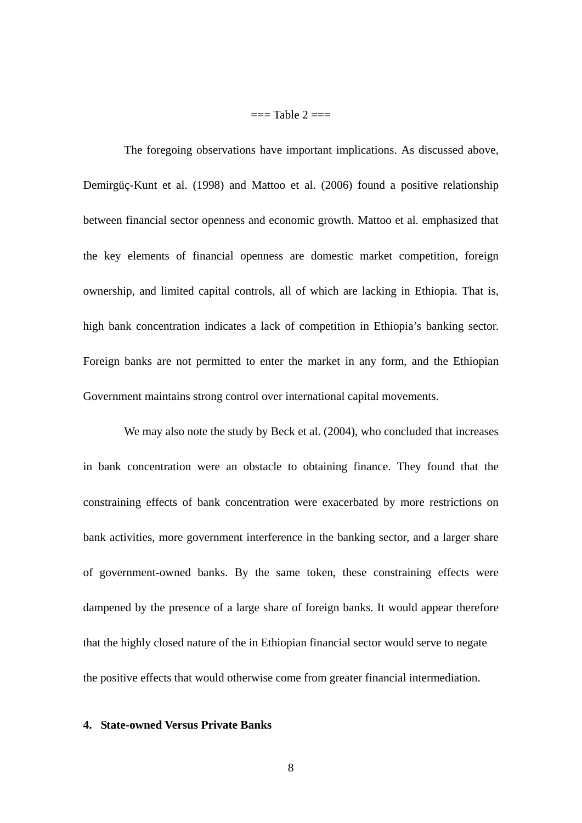$=$  Table  $2 ==$ 

The foregoing observations have important implications. As discussed above, Demirgüç-Kunt et al. (1998) and Mattoo et al. (2006) found a positive relationship between financial sector openness and economic growth. Mattoo et al. emphasized that the key elements of financial openness are domestic market competition, foreign ownership, and limited capital controls, all of which are lacking in Ethiopia. That is, high bank concentration indicates a lack of competition in Ethiopia's banking sector. Foreign banks are not permitted to enter the market in any form, and the Ethiopian Government maintains strong control over international capital movements.

We may also note the study by Beck et al. (2004), who concluded that increases in bank concentration were an obstacle to obtaining finance. They found that the constraining effects of bank concentration were exacerbated by more restrictions on bank activities, more government interference in the banking sector, and a larger share of government-owned banks. By the same token, these constraining effects were dampened by the presence of a large share of foreign banks. It would appear therefore that the highly closed nature of the in Ethiopian financial sector would serve to negate the positive effects that would otherwise come from greater financial intermediation.

#### **4. State-owned Versus Private Banks**

8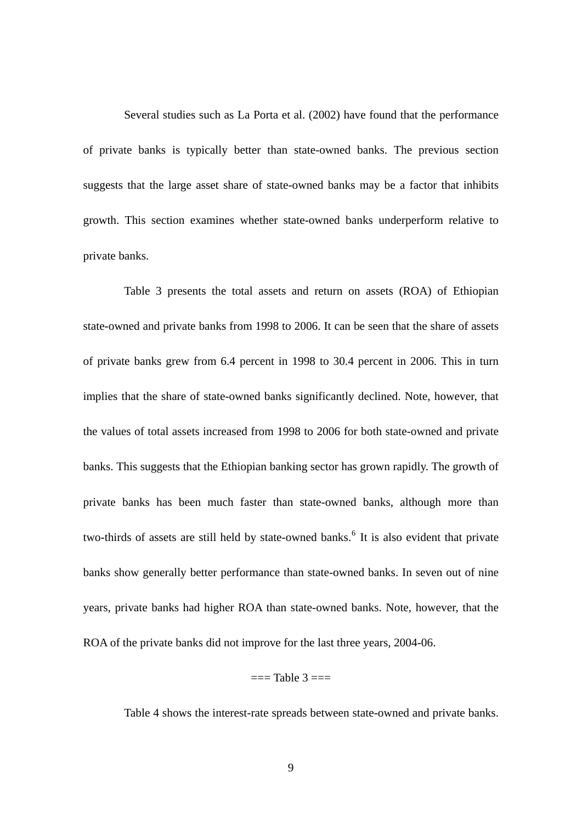Several studies such as La Porta et al. (2002) have found that the performance of private banks is typically better than state-owned banks. The previous section suggests that the large asset share of state-owned banks may be a factor that inhibits growth. This section examines whether state-owned banks underperform relative to private banks.

Table 3 presents the total assets and return on assets (ROA) of Ethiopian state-owned and private banks from 1998 to 2006. It can be seen that the share of assets of private banks grew from 6.4 percent in 1998 to 30.4 percent in 2006. This in turn implies that the share of state-owned banks significantly declined. Note, however, that the values of total assets increased from 1998 to 2006 for both state-owned and private banks. This suggests that the Ethiopian banking sector has grown rapidly. The growth of private banks has been much faster than state-owned banks, although more than two-thirds of assets are still held by state-owned banks.<sup>[6](#page-27-1)</sup> It is also evident that private banks show generally better performance than state-owned banks. In seven out of nine years, private banks had higher ROA than state-owned banks. Note, however, that the ROA of the private banks did not improve for the last three years, 2004-06.

#### $==$ Table  $3 ==$

Table 4 shows the interest-rate spreads between state-owned and private banks.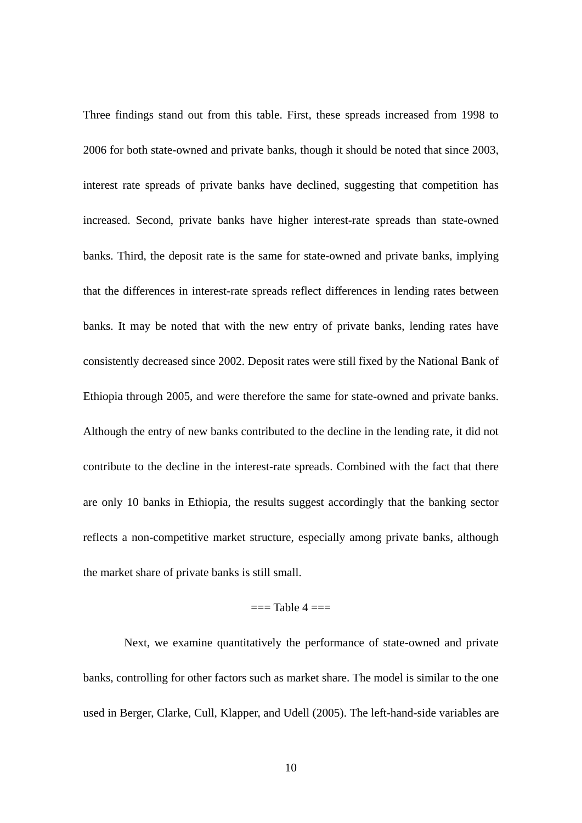Three findings stand out from this table. First, these spreads increased from 1998 to 2006 for both state-owned and private banks, though it should be noted that since 2003, interest rate spreads of private banks have declined, suggesting that competition has increased. Second, private banks have higher interest-rate spreads than state-owned banks. Third, the deposit rate is the same for state-owned and private banks, implying that the differences in interest-rate spreads reflect differences in lending rates between banks. It may be noted that with the new entry of private banks, lending rates have consistently decreased since 2002. Deposit rates were still fixed by the National Bank of Ethiopia through 2005, and were therefore the same for state-owned and private banks. Although the entry of new banks contributed to the decline in the lending rate, it did not contribute to the decline in the interest-rate spreads. Combined with the fact that there are only 10 banks in Ethiopia, the results suggest accordingly that the banking sector reflects a non-competitive market structure, especially among private banks, although the market share of private banks is still small.

#### $=$  $=$ Table  $4 =$  $=$

Next, we examine quantitatively the performance of state-owned and private banks, controlling for other factors such as market share. The model is similar to the one used in Berger, Clarke, Cull, Klapper, and Udell (2005). The left-hand-side variables are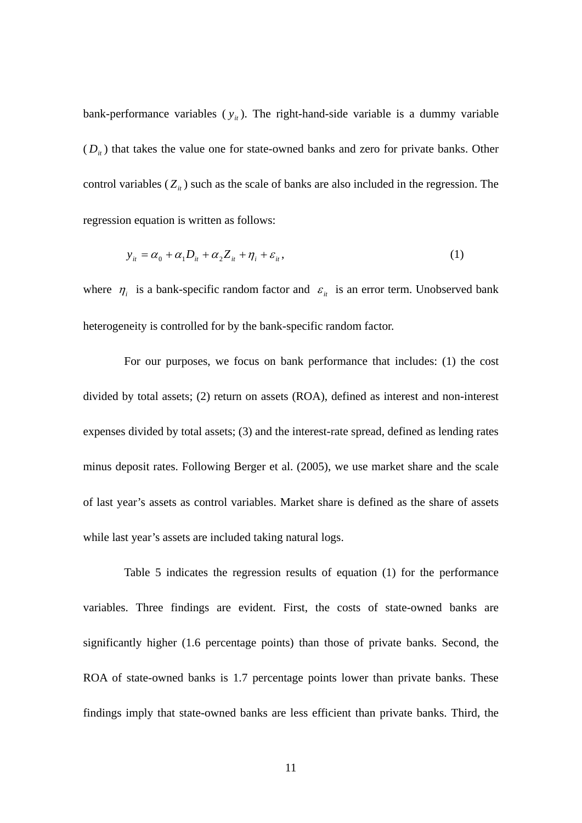bank-performance variables  $(y_{it})$ . The right-hand-side variable is a dummy variable  $(D_{it})$  that takes the value one for state-owned banks and zero for private banks. Other control variables  $(Z_{it})$  such as the scale of banks are also included in the regression. The regression equation is written as follows:

$$
y_{it} = \alpha_0 + \alpha_1 D_{it} + \alpha_2 Z_{it} + \eta_i + \varepsilon_{it},
$$
\n(1)

where  $\eta_i$  is a bank-specific random factor and  $\varepsilon_i$  is an error term. Unobserved bank heterogeneity is controlled for by the bank-specific random factor.

For our purposes, we focus on bank performance that includes: (1) the cost divided by total assets; (2) return on assets (ROA), defined as interest and non-interest expenses divided by total assets; (3) and the interest-rate spread, defined as lending rates minus deposit rates. Following Berger et al. (2005), we use market share and the scale of last year's assets as control variables. Market share is defined as the share of assets while last year's assets are included taking natural logs.

Table 5 indicates the regression results of equation (1) for the performance variables. Three findings are evident. First, the costs of state-owned banks are significantly higher (1.6 percentage points) than those of private banks. Second, the ROA of state-owned banks is 1.7 percentage points lower than private banks. These findings imply that state-owned banks are less efficient than private banks. Third, the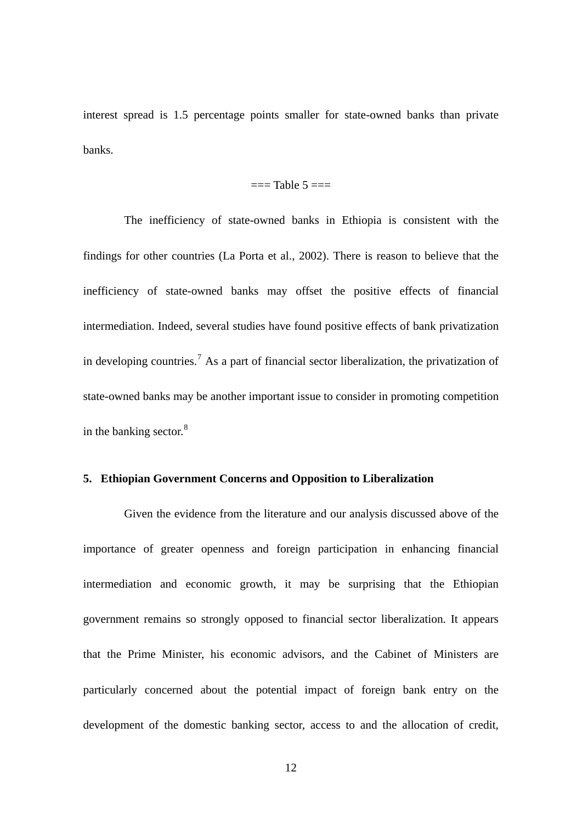interest spread is 1.5 percentage points smaller for state-owned banks than private banks.

#### $==$ Table  $5 ==$

The inefficiency of state-owned banks in Ethiopia is consistent with the findings for other countries (La Porta et al., 2002). There is reason to believe that the inefficiency of state-owned banks may offset the positive effects of financial intermediation. Indeed, several studies have found positive effects of bank privatization in developing countries.<sup>[7](#page-27-1)</sup> As a part of financial sector liberalization, the privatization of state-owned banks may be another important issue to consider in promoting competition in the banking sector. $8$ 

#### **5. Ethiopian Government Concerns and Opposition to Liberalization**

Given the evidence from the literature and our analysis discussed above of the importance of greater openness and foreign participation in enhancing financial intermediation and economic growth, it may be surprising that the Ethiopian government remains so strongly opposed to financial sector liberalization. It appears that the Prime Minister, his economic advisors, and the Cabinet of Ministers are particularly concerned about the potential impact of foreign bank entry on the development of the domestic banking sector, access to and the allocation of credit,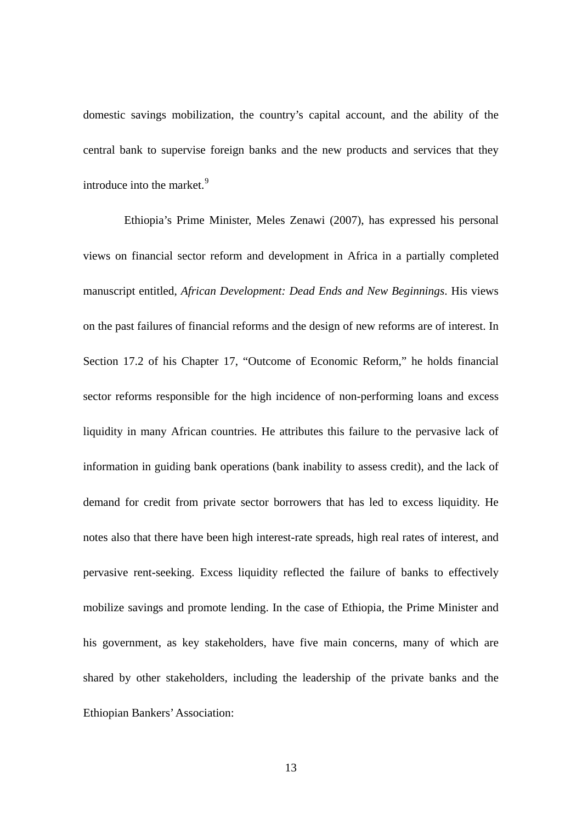domestic savings mobilization, the country's capital account, and the ability of the central bank to supervise foreign banks and the new products and services that they introduce into the market.<sup>[9](#page-27-1)</sup>

Ethiopia's Prime Minister, Meles Zenawi (2007), has expressed his personal views on financial sector reform and development in Africa in a partially completed manuscript entitled, *African Development: Dead Ends and New Beginnings*. His views on the past failures of financial reforms and the design of new reforms are of interest. In Section 17.2 of his Chapter 17, "Outcome of Economic Reform," he holds financial sector reforms responsible for the high incidence of non-performing loans and excess liquidity in many African countries. He attributes this failure to the pervasive lack of information in guiding bank operations (bank inability to assess credit), and the lack of demand for credit from private sector borrowers that has led to excess liquidity. He notes also that there have been high interest-rate spreads, high real rates of interest, and pervasive rent-seeking. Excess liquidity reflected the failure of banks to effectively mobilize savings and promote lending. In the case of Ethiopia, the Prime Minister and his government, as key stakeholders, have five main concerns, many of which are shared by other stakeholders, including the leadership of the private banks and the Ethiopian Bankers' Association: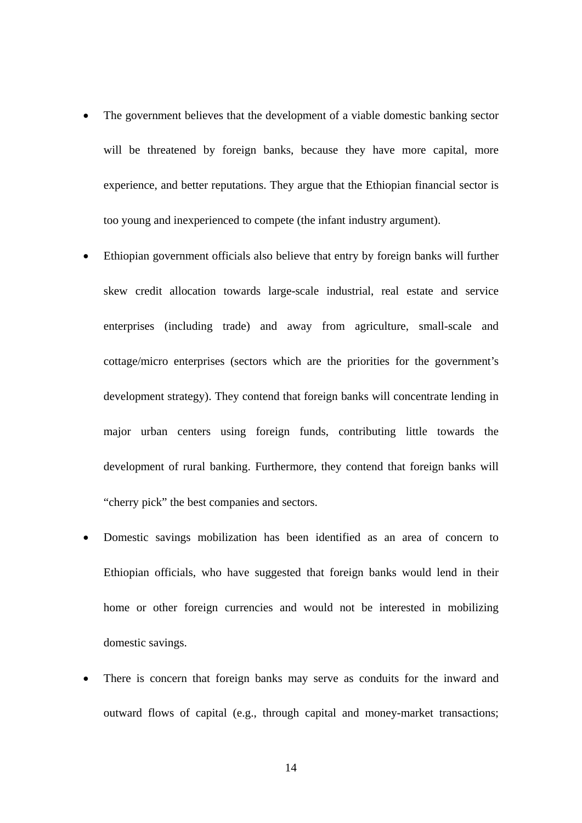- The government believes that the development of a viable domestic banking sector will be threatened by foreign banks, because they have more capital, more experience, and better reputations. They argue that the Ethiopian financial sector is too young and inexperienced to compete (the infant industry argument).
- Ethiopian government officials also believe that entry by foreign banks will further skew credit allocation towards large-scale industrial, real estate and service enterprises (including trade) and away from agriculture, small-scale and cottage/micro enterprises (sectors which are the priorities for the government's development strategy). They contend that foreign banks will concentrate lending in major urban centers using foreign funds, contributing little towards the development of rural banking. Furthermore, they contend that foreign banks will "cherry pick" the best companies and sectors.
- Domestic savings mobilization has been identified as an area of concern to Ethiopian officials, who have suggested that foreign banks would lend in their home or other foreign currencies and would not be interested in mobilizing domestic savings.
- There is concern that foreign banks may serve as conduits for the inward and outward flows of capital (e.g., through capital and money-market transactions;

14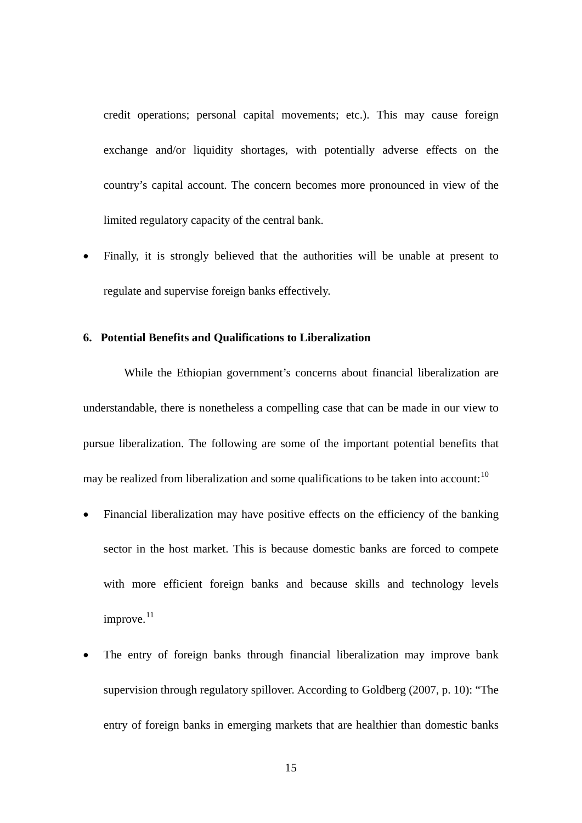credit operations; personal capital movements; etc.). This may cause foreign exchange and/or liquidity shortages, with potentially adverse effects on the country's capital account. The concern becomes more pronounced in view of the limited regulatory capacity of the central bank.

• Finally, it is strongly believed that the authorities will be unable at present to regulate and supervise foreign banks effectively.

#### **6. Potential Benefits and Qualifications to Liberalization**

While the Ethiopian government's concerns about financial liberalization are understandable, there is nonetheless a compelling case that can be made in our view to pursue liberalization. The following are some of the important potential benefits that may be realized from liberalization and some qualifications to be taken into account:  $10$ 

- Financial liberalization may have positive effects on the efficiency of the banking sector in the host market. This is because domestic banks are forced to compete with more efficient foreign banks and because skills and technology levels improve. $11$
- The entry of foreign banks through financial liberalization may improve bank supervision through regulatory spillover. According to Goldberg (2007, p. 10): "The entry of foreign banks in emerging markets that are healthier than domestic banks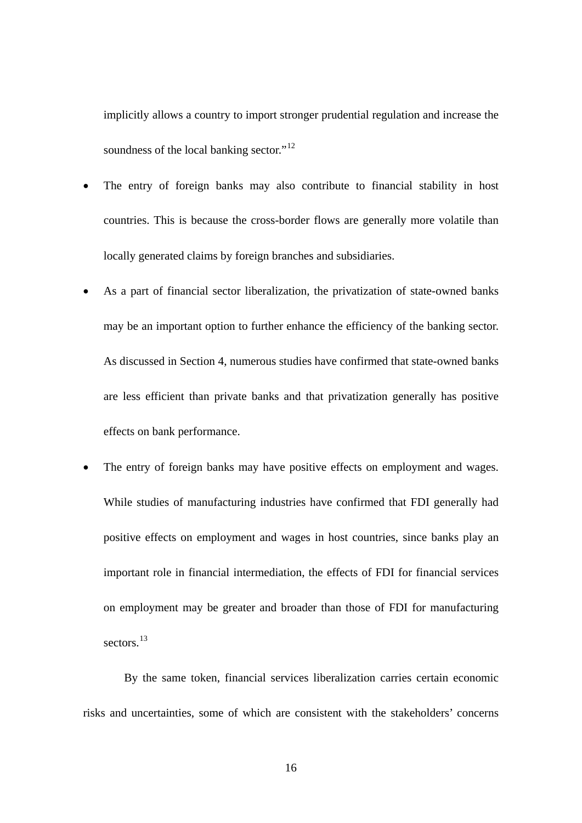implicitly allows a country to import stronger prudential regulation and increase the soundness of the local banking sector."<sup>[12](#page-27-1)</sup>

- The entry of foreign banks may also contribute to financial stability in host countries. This is because the cross-border flows are generally more volatile than locally generated claims by foreign branches and subsidiaries.
- As a part of financial sector liberalization, the privatization of state-owned banks may be an important option to further enhance the efficiency of the banking sector. As discussed in Section 4, numerous studies have confirmed that state-owned banks are less efficient than private banks and that privatization generally has positive effects on bank performance.
- The entry of foreign banks may have positive effects on employment and wages. While studies of manufacturing industries have confirmed that FDI generally had positive effects on employment and wages in host countries, since banks play an important role in financial intermediation, the effects of FDI for financial services on employment may be greater and broader than those of FDI for manufacturing sectors.<sup>[13](#page-27-1)</sup>

By the same token, financial services liberalization carries certain economic risks and uncertainties, some of which are consistent with the stakeholders' concerns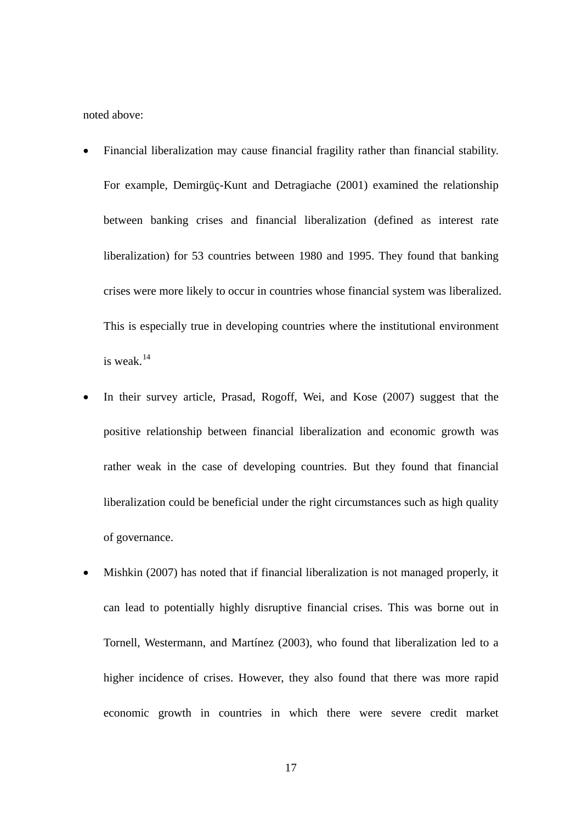noted above:

- Financial liberalization may cause financial fragility rather than financial stability. For example, Demirgüç-Kunt and Detragiache (2001) examined the relationship between banking crises and financial liberalization (defined as interest rate liberalization) for 53 countries between 1980 and 1995. They found that banking crises were more likely to occur in countries whose financial system was liberalized. This is especially true in developing countries where the institutional environment is weak.[14](#page-27-1)
- In their survey article, Prasad, Rogoff, Wei, and Kose (2007) suggest that the positive relationship between financial liberalization and economic growth was rather weak in the case of developing countries. But they found that financial liberalization could be beneficial under the right circumstances such as high quality of governance.
- Mishkin (2007) has noted that if financial liberalization is not managed properly, it can lead to potentially highly disruptive financial crises. This was borne out in Tornell, Westermann, and Martínez (2003), who found that liberalization led to a higher incidence of crises. However, they also found that there was more rapid economic growth in countries in which there were severe credit market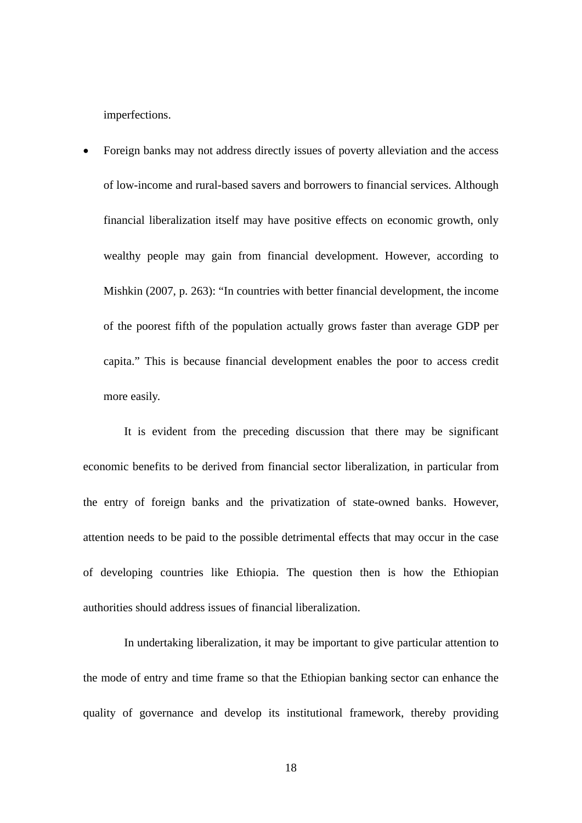imperfections.

• Foreign banks may not address directly issues of poverty alleviation and the access of low-income and rural-based savers and borrowers to financial services. Although financial liberalization itself may have positive effects on economic growth, only wealthy people may gain from financial development. However, according to Mishkin (2007, p. 263): "In countries with better financial development, the income of the poorest fifth of the population actually grows faster than average GDP per capita." This is because financial development enables the poor to access credit more easily.

It is evident from the preceding discussion that there may be significant economic benefits to be derived from financial sector liberalization, in particular from the entry of foreign banks and the privatization of state-owned banks. However, attention needs to be paid to the possible detrimental effects that may occur in the case of developing countries like Ethiopia. The question then is how the Ethiopian authorities should address issues of financial liberalization.

In undertaking liberalization, it may be important to give particular attention to the mode of entry and time frame so that the Ethiopian banking sector can enhance the quality of governance and develop its institutional framework, thereby providing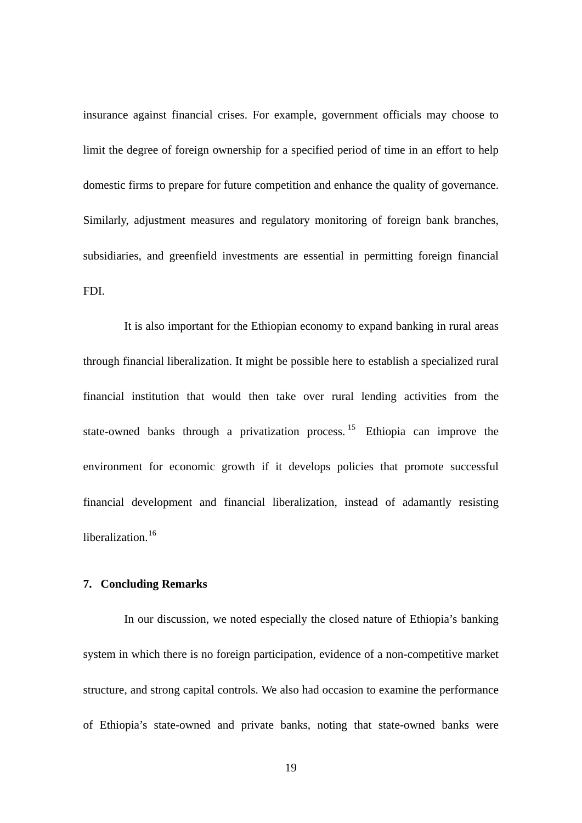insurance against financial crises. For example, government officials may choose to limit the degree of foreign ownership for a specified period of time in an effort to help domestic firms to prepare for future competition and enhance the quality of governance. Similarly, adjustment measures and regulatory monitoring of foreign bank branches, subsidiaries, and greenfield investments are essential in permitting foreign financial FDI.

It is also important for the Ethiopian economy to expand banking in rural areas through financial liberalization. It might be possible here to establish a specialized rural financial institution that would then take over rural lending activities from the state-owned banks through a privatization process.<sup>[15](#page-27-1)</sup> Ethiopia can improve the environment for economic growth if it develops policies that promote successful financial development and financial liberalization, instead of adamantly resisting liberalization.<sup>[16](#page-27-1)</sup>

#### **7. Concluding Remarks**

In our discussion, we noted especially the closed nature of Ethiopia's banking system in which there is no foreign participation, evidence of a non-competitive market structure, and strong capital controls. We also had occasion to examine the performance of Ethiopia's state-owned and private banks, noting that state-owned banks were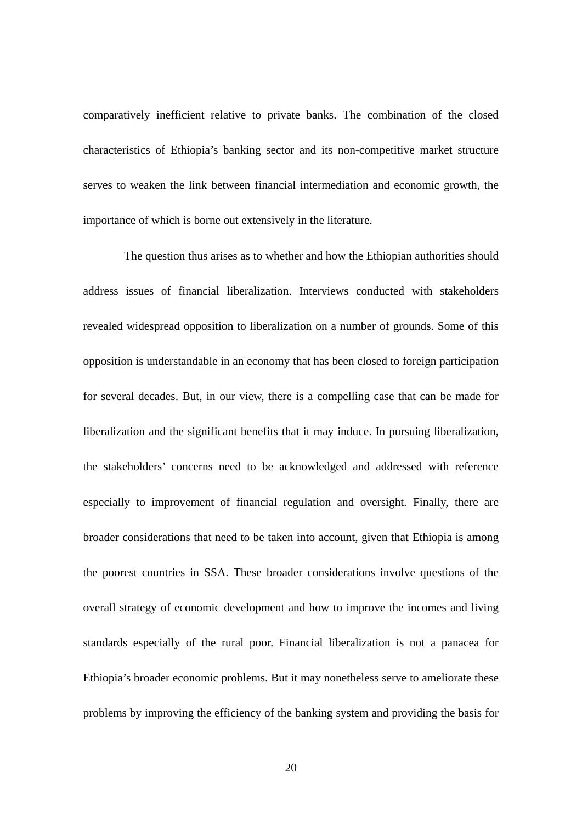comparatively inefficient relative to private banks. The combination of the closed characteristics of Ethiopia's banking sector and its non-competitive market structure serves to weaken the link between financial intermediation and economic growth, the importance of which is borne out extensively in the literature.

The question thus arises as to whether and how the Ethiopian authorities should address issues of financial liberalization. Interviews conducted with stakeholders revealed widespread opposition to liberalization on a number of grounds. Some of this opposition is understandable in an economy that has been closed to foreign participation for several decades. But, in our view, there is a compelling case that can be made for liberalization and the significant benefits that it may induce. In pursuing liberalization, the stakeholders' concerns need to be acknowledged and addressed with reference especially to improvement of financial regulation and oversight. Finally, there are broader considerations that need to be taken into account, given that Ethiopia is among the poorest countries in SSA. These broader considerations involve questions of the overall strategy of economic development and how to improve the incomes and living standards especially of the rural poor. Financial liberalization is not a panacea for Ethiopia's broader economic problems. But it may nonetheless serve to ameliorate these problems by improving the efficiency of the banking system and providing the basis for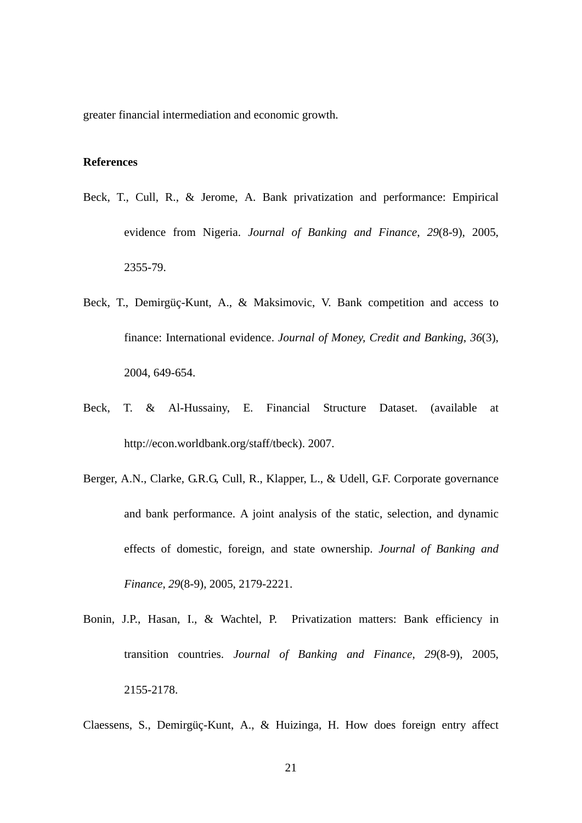greater financial intermediation and economic growth.

#### **References**

- Beck, T., Cull, R., & Jerome, A. Bank privatization and performance: Empirical evidence from Nigeria. *Journal of Banking and Finance*, *29*(8-9), 2005, 2355-79.
- Beck, T., Demirgüç-Kunt, A., & Maksimovic, V. Bank competition and access to finance: International evidence. *Journal of Money, Credit and Banking*, *36*(3), 2004, 649-654.
- Beck, T. & Al-Hussainy, E. Financial Structure Dataset. (available at <http://econ.worldbank.org/staff/tbeck>). 2007.
- Berger, A.N., Clarke, G.R.G, Cull, R., Klapper, L., & Udell, G.F. Corporate governance and bank performance. A joint analysis of the static, selection, and dynamic effects of domestic, foreign, and state ownership. *Journal of Banking and Finance*, *29*(8-9), 2005, 2179-2221.
- Bonin, J.P., Hasan, I., & Wachtel, P. Privatization matters: Bank efficiency in transition countries. *Journal of Banking and Finance*, *29*(8-9), 2005, 2155-2178.

Claessens, S., Demirgüç-Kunt, A., & Huizinga, H. How does foreign entry affect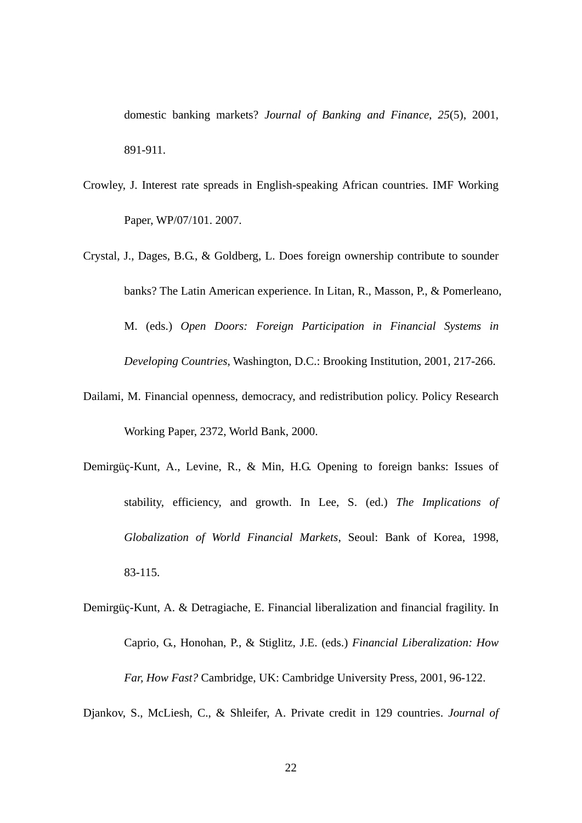domestic banking markets? *Journal of Banking and Finance*, *25*(5), 2001, 891-911.

- Crowley, J. Interest rate spreads in English-speaking African countries. IMF Working Paper, WP/07/101. 2007.
- Crystal, J., Dages, B.G., & Goldberg, L. Does foreign ownership contribute to sounder banks? The Latin American experience. In Litan, R., Masson, P., & Pomerleano, M. (eds.) *Open Doors: Foreign Participation in Financial Systems in Developing Countries*, Washington, D.C.: Brooking Institution, 2001, 217-266.
- Dailami, M. Financial openness, democracy, and redistribution policy. Policy Research Working Paper, 2372, World Bank, 2000.
- Demirgüç-Kunt, A., Levine, R., & Min, H.G. Opening to foreign banks: Issues of stability, efficiency, and growth. In Lee, S. (ed.) *The Implications of Globalization of World Financial Markets*, Seoul: Bank of Korea, 1998, 83-115.
- Demirgüç-Kunt, A. & Detragiache, E. Financial liberalization and financial fragility. In Caprio, G., Honohan, P., & Stiglitz, J.E. (eds.) *Financial Liberalization: How Far, How Fast?* Cambridge, UK: Cambridge University Press, 2001, 96-122.

Djankov, S., McLiesh, C., & Shleifer, A. Private credit in 129 countries. *Journal of*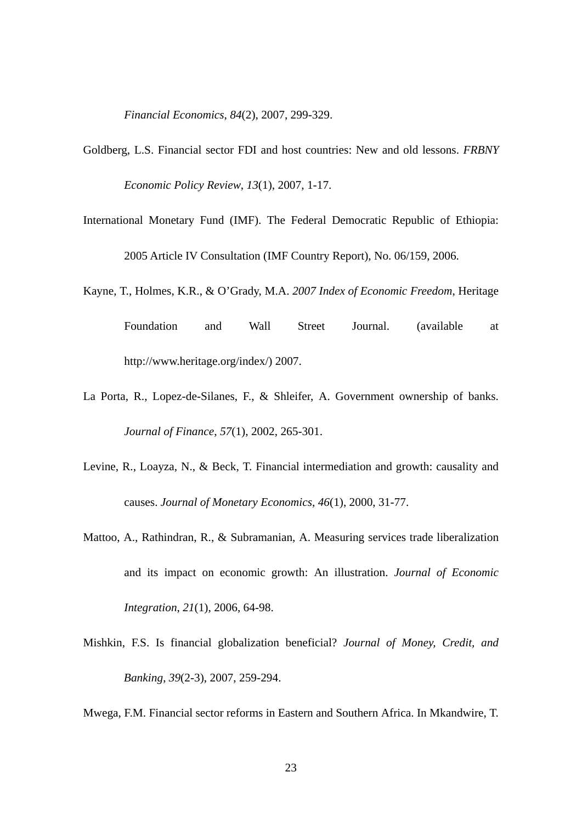*Financial Economics*, *84*(2), 2007, 299-329.

- Goldberg, L.S. Financial sector FDI and host countries: New and old lessons. *FRBNY Economic Policy Review*, *13*(1), 2007, 1-17.
- International Monetary Fund (IMF). The Federal Democratic Republic of Ethiopia: 2005 Article IV Consultation (IMF Country Report), No. 06/159, 2006.
- Kayne, T., Holmes, K.R., & O'Grady, M.A. *2007 Index of Economic Freedom*, Heritage Foundation and Wall Street Journal. (available at [http://www.heritage.org/index/\)](http://www.heritage.org/index/) 2007.
- La Porta, R., Lopez-de-Silanes, F., & Shleifer, A. Government ownership of banks. *Journal of Finance*, *57*(1), 2002, 265-301.
- Levine, R., Loayza, N., & Beck, T. Financial intermediation and growth: causality and causes. *Journal of Monetary Economics*, *46*(1), 2000, 31-77.
- Mattoo, A., Rathindran, R., & Subramanian, A. Measuring services trade liberalization and its impact on economic growth: An illustration. *Journal of Economic Integration*, *21*(1), 2006, 64-98.
- Mishkin, F.S. Is financial globalization beneficial? *Journal of Money, Credit, and Banking*, *39*(2-3), 2007, 259-294.

Mwega, F.M. Financial sector reforms in Eastern and Southern Africa. In Mkandwire, T.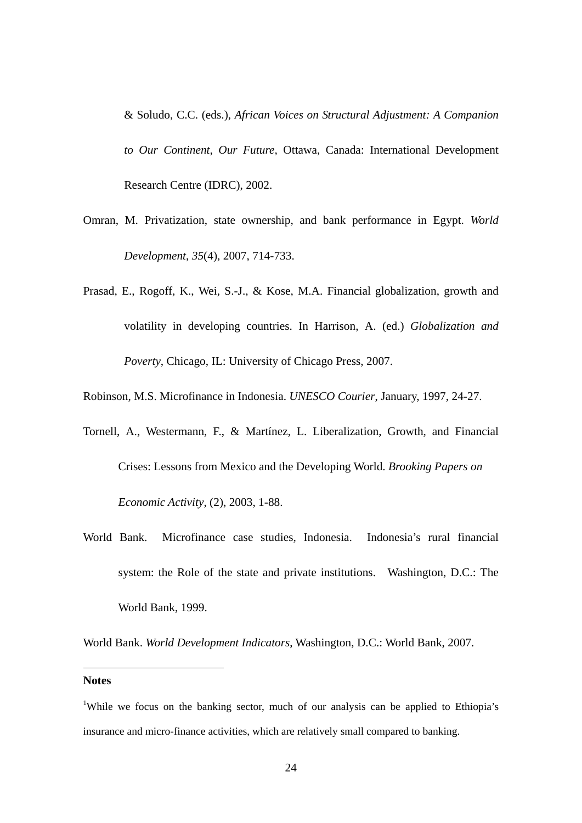& Soludo, C.C. (eds.), *African Voices on Structural Adjustment: A Companion to Our Continent, Our Future,* Ottawa, Canada: International Development Research Centre (IDRC), 2002.

- Omran, M. Privatization, state ownership, and bank performance in Egypt. *World Development*, *35*(4), 2007, 714-733.
- Prasad, E., Rogoff, K., Wei, S.-J., & Kose, M.A. Financial globalization, growth and volatility in developing countries. In Harrison, A. (ed.) *Globalization and Poverty*, Chicago, IL: University of Chicago Press, 2007.

Robinson, M.S. Microfinance in Indonesia. *UNESCO Courier*, January, 1997, 24-27.

- Tornell, A., Westermann, F., & Martínez, L. Liberalization, Growth, and Financial Crises: Lessons from Mexico and the Developing World. *Brooking Papers on Economic Activity*, (2), 2003, 1-88.
- World Bank. Microfinance case studies, Indonesia. Indonesia's rural financial system: the Role of the state and private institutions. Washington, D.C.: The World Bank, 1999.

World Bank. *World Development Indicators*, Washington, D.C.: World Bank, 2007.

#### **Notes**

1

<sup>&</sup>lt;sup>1</sup>While we focus on the banking sector, much of our analysis can be applied to Ethiopia's insurance and micro-finance activities, which are relatively small compared to banking.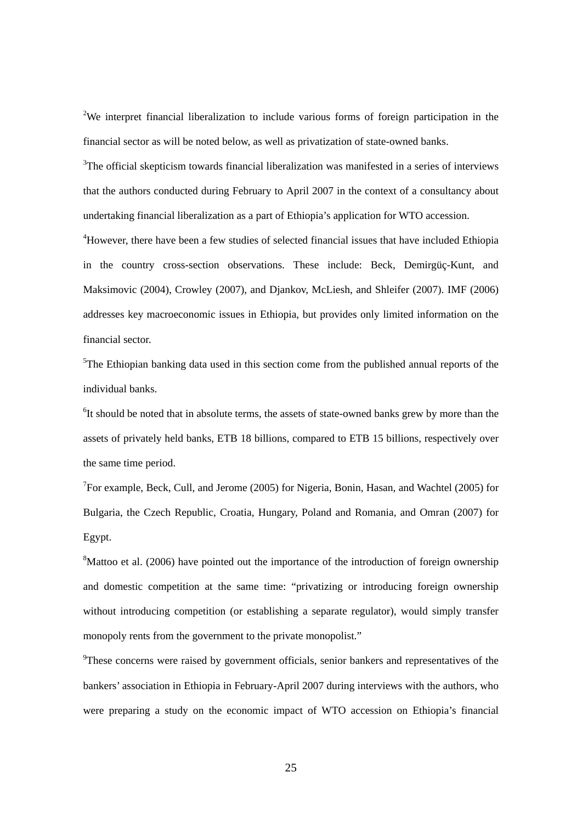<sup>2</sup>We interpret financial liberalization to include various forms of foreign participation in the financial sector as will be noted below, as well as privatization of state-owned banks.

<sup>3</sup>The official skepticism towards financial liberalization was manifested in a series of interviews that the authors conducted during February to April 2007 in the context of a consultancy about undertaking financial liberalization as a part of Ethiopia's application for WTO accession.

<sup>4</sup>However, there have been a few studies of selected financial issues that have included Ethiopia in the country cross-section observations. These include: Beck, Demirgüç-Kunt, and Maksimovic (2004), Crowley (2007), and Djankov, McLiesh, and Shleifer (2007). IMF (2006) addresses key macroeconomic issues in Ethiopia, but provides only limited information on the financial sector.

<sup>5</sup>The Ethiopian banking data used in this section come from the published annual reports of the individual banks.

<sup>6</sup>It should be noted that in absolute terms, the assets of state-owned banks grew by more than the assets of privately held banks, ETB 18 billions, compared to ETB 15 billions, respectively over the same time period.

<sup>7</sup>For example, Beck, Cull, and Jerome (2005) for Nigeria, Bonin, Hasan, and Wachtel (2005) for Bulgaria, the Czech Republic, Croatia, Hungary, Poland and Romania, and Omran (2007) for Egypt.

<sup>8</sup>Mattoo et al. (2006) have pointed out the importance of the introduction of foreign ownership and domestic competition at the same time: "privatizing or introducing foreign ownership without introducing competition (or establishing a separate regulator), would simply transfer monopoly rents from the government to the private monopolist."

<sup>9</sup>These concerns were raised by government officials, senior bankers and representatives of the bankers' association in Ethiopia in February-April 2007 during interviews with the authors, who were preparing a study on the economic impact of WTO accession on Ethiopia's financial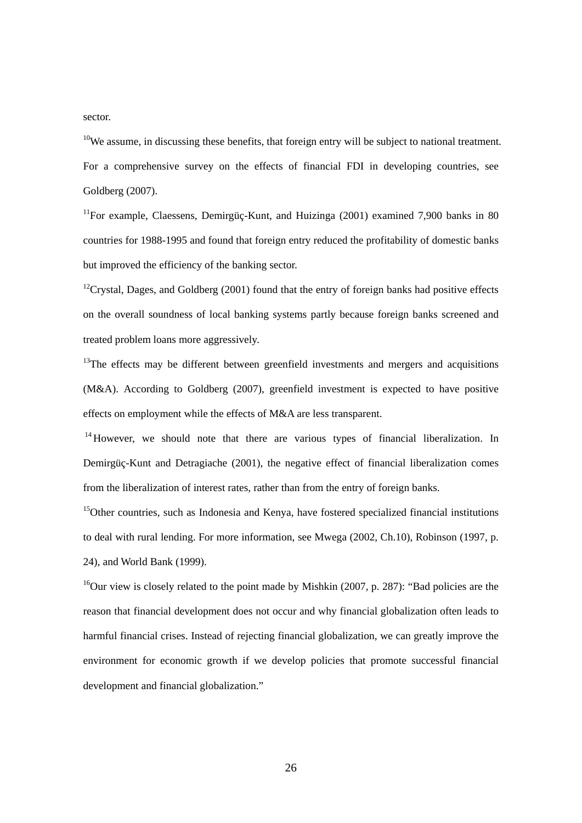#### <span id="page-27-1"></span>sector.

 $10$ We assume, in discussing these benefits, that foreign entry will be subject to national treatment. For a comprehensive survey on the effects of financial FDI in developing countries, see Goldberg (2007).

<sup>11</sup>For example, Claessens, Demirgüç-Kunt, and Huizinga (2001) examined 7,900 banks in 80 countries for 1988-1995 and found that foreign entry reduced the profitability of domestic banks but improved the efficiency of the banking sector.

 $12$ Crystal, Dages, and Goldberg (2001) found that the entry of foreign banks had positive effects on the overall soundness of local banking systems partly because foreign banks screened and treated problem loans more aggressively.

 $13$ The effects may be different between greenfield investments and mergers and acquisitions (M&A). According to Goldberg (2007), greenfield investment is expected to have positive effects on employment while the effects of M&A are less transparent.

 $14$  However, we should note that there are various types of financial liberalization. In Demirgüç-Kunt and Detragiache (2001), the negative effect of financial liberalization comes from the liberalization of interest rates, rather than from the entry of foreign banks.

 $15$ Other countries, such as Indonesia and Kenya, have fostered specialized financial institutions to deal with rural lending. For more information, see Mwega (2002, Ch.10), Robinson (1997, p. 24), and World Bank (1999).

<span id="page-27-0"></span> $16$ Our view is closely related to the point made by Mishkin (2007, p. 287): "Bad policies are the reason that financial development does not occur and why financial globalization often leads to harmful financial crises. Instead of rejecting financial globalization, we can greatly improve the environment for economic growth if we develop policies that promote successful financial development and financial globalization."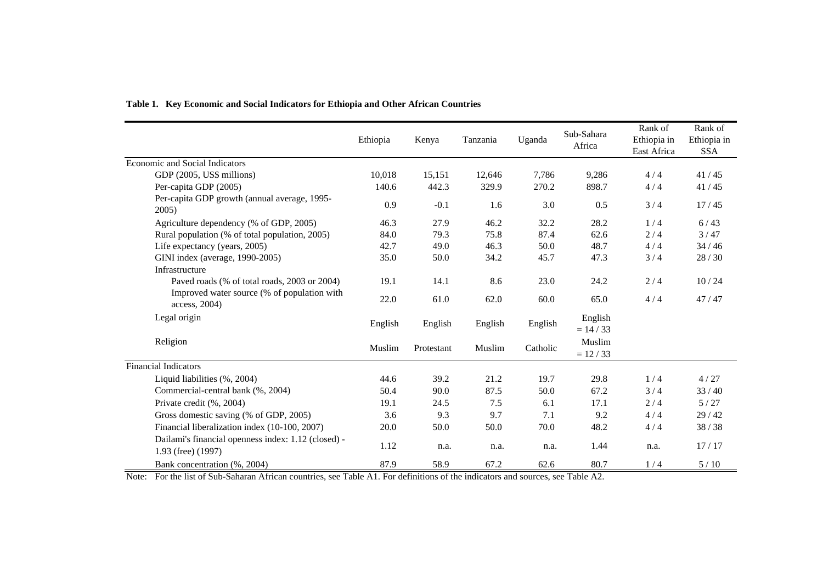|                                                                           | Ethiopia | Kenya      | Tanzania | Uganda   | Sub-Sahara<br>Africa   | Rank of<br>Ethiopia in<br>East Africa | Rank of<br>Ethiopia in<br><b>SSA</b> |
|---------------------------------------------------------------------------|----------|------------|----------|----------|------------------------|---------------------------------------|--------------------------------------|
| <b>Economic and Social Indicators</b>                                     |          |            |          |          |                        |                                       |                                      |
| GDP (2005, US\$ millions)                                                 | 10,018   | 15,151     | 12,646   | 7,786    | 9,286                  | 4/4                                   | 41/45                                |
| Per-capita GDP (2005)                                                     | 140.6    | 442.3      | 329.9    | 270.2    | 898.7                  | 4/4                                   | 41/45                                |
| Per-capita GDP growth (annual average, 1995-<br>2005)                     | 0.9      | $-0.1$     | 1.6      | 3.0      | 0.5                    | 3/4                                   | 17/45                                |
| Agriculture dependency (% of GDP, 2005)                                   | 46.3     | 27.9       | 46.2     | 32.2     | 28.2                   | 1/4                                   | 6/43                                 |
| Rural population (% of total population, 2005)                            | 84.0     | 79.3       | 75.8     | 87.4     | 62.6                   | 2/4                                   | 3/47                                 |
| Life expectancy (years, 2005)                                             | 42.7     | 49.0       | 46.3     | 50.0     | 48.7                   | 4/4                                   | 34/46                                |
| GINI index (average, 1990-2005)                                           | 35.0     | 50.0       | 34.2     | 45.7     | 47.3                   | 3/4                                   | 28/30                                |
| Infrastructure                                                            |          |            |          |          |                        |                                       |                                      |
| Paved roads (% of total roads, 2003 or 2004)                              | 19.1     | 14.1       | 8.6      | 23.0     | 24.2                   | 2/4                                   | 10/24                                |
| Improved water source (% of population with<br>access, 2004)              | 22.0     | 61.0       | 62.0     | 60.0     | 65.0                   | 4/4                                   | 47/47                                |
| Legal origin                                                              | English  | English    | English  | English  | English<br>$= 14 / 33$ |                                       |                                      |
| Religion                                                                  | Muslim   | Protestant | Muslim   | Catholic | Muslim<br>$= 12 / 33$  |                                       |                                      |
| <b>Financial Indicators</b>                                               |          |            |          |          |                        |                                       |                                      |
| Liquid liabilities (%, 2004)                                              | 44.6     | 39.2       | 21.2     | 19.7     | 29.8                   | 1/4                                   | 4/27                                 |
| Commercial-central bank (%, 2004)                                         | 50.4     | 90.0       | 87.5     | 50.0     | 67.2                   | 3/4                                   | 33/40                                |
| Private credit (%, 2004)                                                  | 19.1     | 24.5       | 7.5      | 6.1      | 17.1                   | 2/4                                   | 5/27                                 |
| Gross domestic saving (% of GDP, 2005)                                    | 3.6      | 9.3        | 9.7      | 7.1      | 9.2                    | 4/4                                   | 29/42                                |
| Financial liberalization index (10-100, 2007)                             | 20.0     | 50.0       | 50.0     | 70.0     | 48.2                   | 4/4                                   | 38/38                                |
| Dailami's financial openness index: 1.12 (closed) -<br>1.93 (free) (1997) | 1.12     | n.a.       | n.a.     | n.a.     | 1.44                   | n.a.                                  | 17/17                                |
| Bank concentration (%, 2004)                                              | 87.9     | 58.9       | 67.2     | 62.6     | 80.7                   | 1/4                                   | 5/10                                 |

#### **Table 1. Key Economic and Social Indicators for Ethiopia and Other African Countries**

Note: For the list of Sub-Saharan African countries, see Table A1. For definitions of the indicators and sources, see Table A2.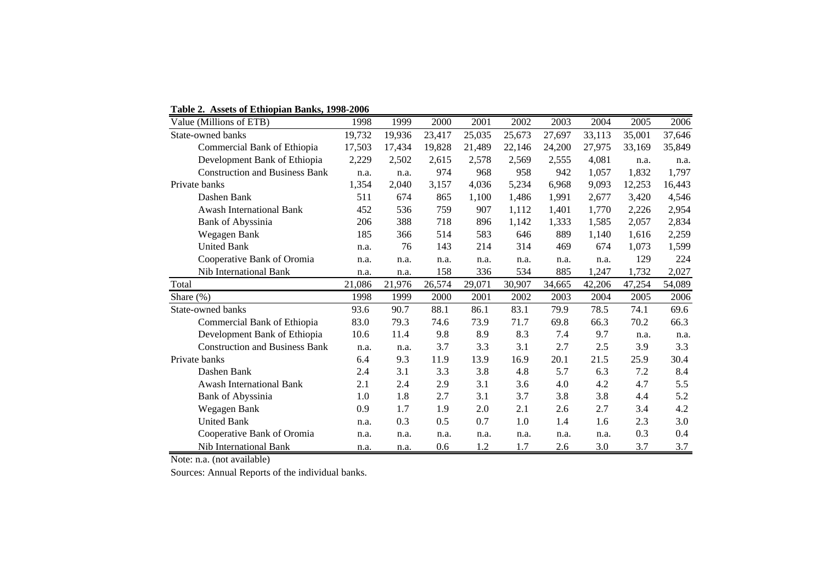**Table 2. Assets of Ethiopian Banks, 1998-2006**

|                   | Value (Millions of ETB)               | 1998   | 1999   | 2000   | 2001   | 2002   | 2003   | 2004   | 2005   | 2006   |
|-------------------|---------------------------------------|--------|--------|--------|--------|--------|--------|--------|--------|--------|
| State-owned banks |                                       | 19,732 | 19,936 | 23,417 | 25,035 | 25,673 | 27,697 | 33,113 | 35,001 | 37,646 |
|                   | Commercial Bank of Ethiopia           | 17,503 | 17,434 | 19,828 | 21,489 | 22,146 | 24,200 | 27,975 | 33,169 | 35,849 |
|                   | Development Bank of Ethiopia          | 2,229  | 2,502  | 2,615  | 2,578  | 2,569  | 2,555  | 4,081  | n.a.   | n.a.   |
|                   | <b>Construction and Business Bank</b> | n.a.   | n.a.   | 974    | 968    | 958    | 942    | 1,057  | 1,832  | 1,797  |
|                   | Private banks                         | 1,354  | 2,040  | 3,157  | 4,036  | 5,234  | 6,968  | 9,093  | 12,253 | 16,443 |
|                   | Dashen Bank                           | 511    | 674    | 865    | 1,100  | 1,486  | 1,991  | 2,677  | 3,420  | 4,546  |
|                   | <b>Awash International Bank</b>       | 452    | 536    | 759    | 907    | 1,112  | 1,401  | 1,770  | 2,226  | 2,954  |
|                   | Bank of Abyssinia                     | 206    | 388    | 718    | 896    | 1,142  | 1,333  | 1,585  | 2,057  | 2,834  |
|                   | Wegagen Bank                          | 185    | 366    | 514    | 583    | 646    | 889    | 1,140  | 1,616  | 2,259  |
|                   | <b>United Bank</b>                    | n.a.   | 76     | 143    | 214    | 314    | 469    | 674    | 1,073  | 1,599  |
|                   | Cooperative Bank of Oromia            | n.a.   | n.a.   | n.a.   | n.a.   | n.a.   | n.a.   | n.a.   | 129    | 224    |
|                   | <b>Nib International Bank</b>         | n.a.   | n.a.   | 158    | 336    | 534    | 885    | 1,247  | 1,732  | 2,027  |
| Total             |                                       | 21,086 | 21,976 | 26,574 | 29,071 | 30,907 | 34,665 | 42,206 | 47,254 | 54,089 |
| Share (%)         |                                       | 1998   | 1999   | 2000   | 2001   | 2002   | 2003   | 2004   | 2005   | 2006   |
|                   | State-owned banks                     | 93.6   | 90.7   | 88.1   | 86.1   | 83.1   | 79.9   | 78.5   | 74.1   | 69.6   |
|                   | Commercial Bank of Ethiopia           | 83.0   | 79.3   | 74.6   | 73.9   | 71.7   | 69.8   | 66.3   | 70.2   | 66.3   |
|                   | Development Bank of Ethiopia          | 10.6   | 11.4   | 9.8    | 8.9    | 8.3    | 7.4    | 9.7    | n.a.   | n.a.   |
|                   | <b>Construction and Business Bank</b> | n.a.   | n.a.   | 3.7    | 3.3    | 3.1    | 2.7    | 2.5    | 3.9    | 3.3    |
|                   | Private banks                         | 6.4    | 9.3    | 11.9   | 13.9   | 16.9   | 20.1   | 21.5   | 25.9   | 30.4   |
|                   | Dashen Bank                           | 2.4    | 3.1    | 3.3    | 3.8    | 4.8    | 5.7    | 6.3    | 7.2    | 8.4    |
|                   | <b>Awash International Bank</b>       | 2.1    | 2.4    | 2.9    | 3.1    | 3.6    | 4.0    | 4.2    | 4.7    | 5.5    |
|                   | Bank of Abyssinia                     | 1.0    | 1.8    | 2.7    | 3.1    | 3.7    | 3.8    | 3.8    | 4.4    | 5.2    |
|                   | Wegagen Bank                          | 0.9    | 1.7    | 1.9    | 2.0    | 2.1    | 2.6    | 2.7    | 3.4    | 4.2    |
|                   | <b>United Bank</b>                    | n.a.   | 0.3    | 0.5    | 0.7    | 1.0    | 1.4    | 1.6    | 2.3    | 3.0    |
|                   | Cooperative Bank of Oromia            | n.a.   | n.a.   | n.a.   | n.a.   | n.a.   | n.a.   | n.a.   | 0.3    | 0.4    |
|                   | Nib International Bank                | n.a.   | n.a.   | 0.6    | 1.2    | 1.7    | 2.6    | 3.0    | 3.7    | 3.7    |

Note: n.a. (not available)

Sources: Annual Reports of the individual banks.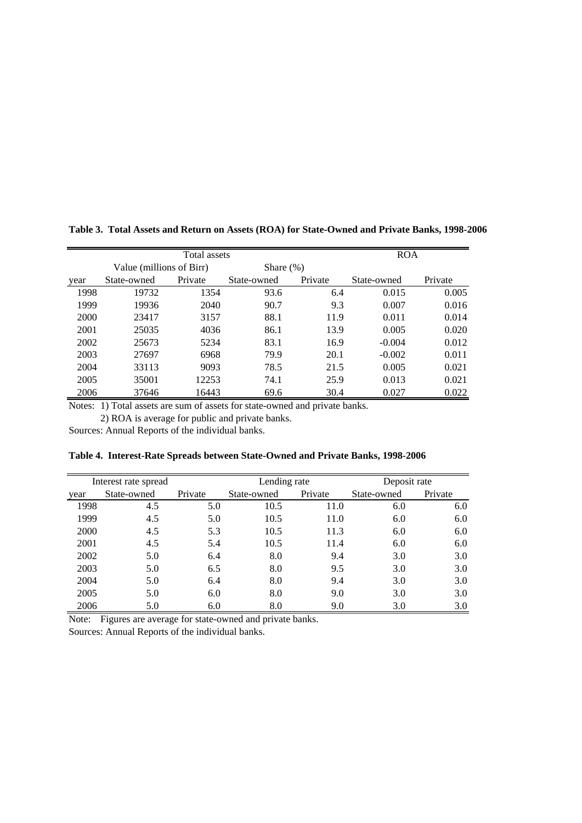|      |                          | <b>ROA</b> |              |         |             |         |
|------|--------------------------|------------|--------------|---------|-------------|---------|
|      | Value (millions of Birr) |            | Share $(\%)$ |         |             |         |
| year | State-owned              | Private    | State-owned  | Private | State-owned | Private |
| 1998 | 19732                    | 1354       | 93.6         | 6.4     | 0.015       | 0.005   |
| 1999 | 19936                    | 2040       | 90.7         | 9.3     | 0.007       | 0.016   |
| 2000 | 23417                    | 3157       | 88.1         | 11.9    | 0.011       | 0.014   |
| 2001 | 25035                    | 4036       | 86.1         | 13.9    | 0.005       | 0.020   |
| 2002 | 25673                    | 5234       | 83.1         | 16.9    | $-0.004$    | 0.012   |
| 2003 | 27697                    | 6968       | 79.9         | 20.1    | $-0.002$    | 0.011   |
| 2004 | 33113                    | 9093       | 78.5         | 21.5    | 0.005       | 0.021   |
| 2005 | 35001                    | 12253      | 74.1         | 25.9    | 0.013       | 0.021   |
| 2006 | 37646                    | 16443      | 69.6         | 30.4    | 0.027       | 0.022   |

**Table 3. Total Assets and Return on Assets (ROA) for State-Owned and Private Banks, 1998-2006**

Notes: 1) Total assets are sum of assets for state-owned and private banks.

2) ROA is average for public and private banks.

Sources: Annual Reports of the individual banks.

| Table 4. Interest-Rate Spreads between State-Owned and Private Banks, 1998-2006 |  |  |  |
|---------------------------------------------------------------------------------|--|--|--|
|                                                                                 |  |  |  |

|      | Interest rate spread |         | Lending rate |         | Deposit rate |         |
|------|----------------------|---------|--------------|---------|--------------|---------|
| year | State-owned          | Private | State-owned  | Private | State-owned  | Private |
| 1998 | 4.5                  | 5.0     | 10.5         | 11.0    | 6.0          | 6.0     |
| 1999 | 4.5                  | 5.0     | 10.5         | 11.0    | 6.0          | 6.0     |
| 2000 | 4.5                  | 5.3     | 10.5         | 11.3    | 6.0          | 6.0     |
| 2001 | 4.5                  | 5.4     | 10.5         | 11.4    | 6.0          | 6.0     |
| 2002 | 5.0                  | 6.4     | 8.0          | 9.4     | 3.0          | 3.0     |
| 2003 | 5.0                  | 6.5     | 8.0          | 9.5     | 3.0          | 3.0     |
| 2004 | 5.0                  | 6.4     | 8.0          | 9.4     | 3.0          | 3.0     |
| 2005 | 5.0                  | 6.0     | 8.0          | 9.0     | 3.0          | 3.0     |
| 2006 | 5.0                  | 6.0     | 8.0          | 9.0     | 3.0          | 3.0     |

Note: Figures are average for state-owned and private banks.

Sources: Annual Reports of the individual banks.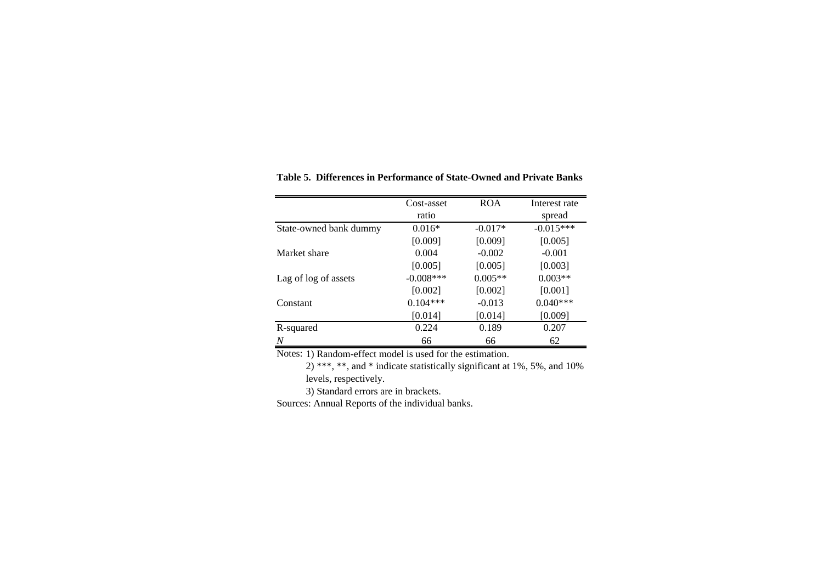|                        | Cost-asset   | <b>ROA</b> | Interest rate |
|------------------------|--------------|------------|---------------|
|                        | ratio        |            | spread        |
| State-owned bank dummy | $0.016*$     | $-0.017*$  | $-0.015***$   |
|                        | [0.009]      | [0.009]    | [0.005]       |
| Market share           | 0.004        | $-0.002$   | $-0.001$      |
|                        | [0.005]      | [0.005]    | [0.003]       |
| Lag of log of assets   | $-0.008$ *** | $0.005**$  | $0.003**$     |
|                        | [0.002]      | [0.002]    | [0.001]       |
| Constant               | $0.104***$   | $-0.013$   | $0.040***$    |
|                        | [0.014]      | [0.014]    | [0.009]       |
| R-squared              | 0.224        | 0.189      | 0.207         |
| Ν                      | 66           | 66         | 62            |

**Table 5. Differences in Performance of State-Owned and Private Banks**

Notes: 1) Random-effect model is used for the estimation.

2) \*\*\*, \*\*, and \* indicate statistically significant at 1%, 5%, and 10% levels, respectively.

3) Standard errors are in brackets.

Sources: Annual Reports of the individual banks.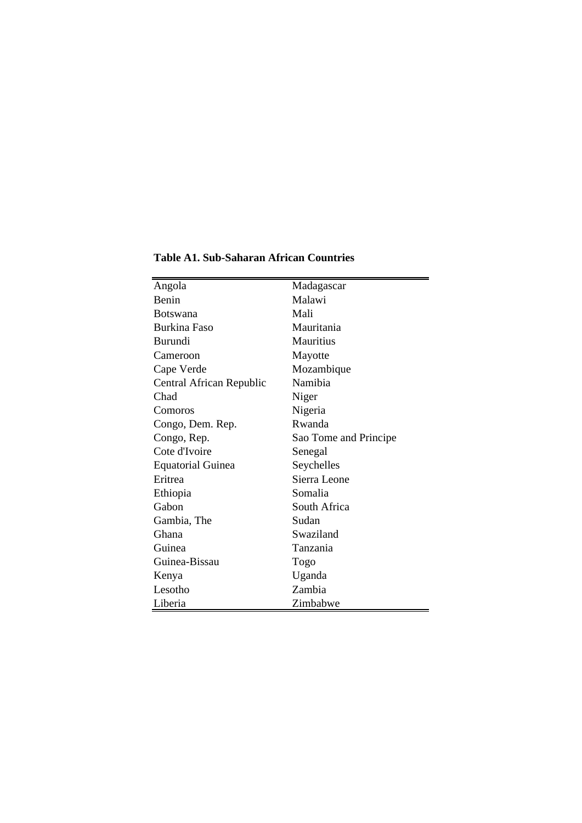| Angola                   | Madagascar            |
|--------------------------|-----------------------|
| Benin                    | Malawi                |
| <b>Botswana</b>          | Mali                  |
| <b>Burkina Faso</b>      | Mauritania            |
| Burundi                  | <b>Mauritius</b>      |
| Cameroon                 | Mayotte               |
| Cape Verde               | Mozambique            |
| Central African Republic | Namibia               |
| Chad                     | Niger                 |
| Comoros                  | Nigeria               |
| Congo, Dem. Rep.         | Rwanda                |
| Congo, Rep.              | Sao Tome and Principe |
| Cote d'Ivoire            | Senegal               |
| <b>Equatorial Guinea</b> | Seychelles            |
| Eritrea                  | Sierra Leone          |
| Ethiopia                 | Somalia               |
| Gabon                    | South Africa          |
| Gambia, The              | Sudan                 |
| Ghana                    | Swaziland             |
| Guinea                   | Tanzania              |
| Guinea-Bissau            | Togo                  |
| Kenya                    | Uganda                |
| Lesotho                  | Zambia                |
| Liberia                  | Zimbabwe              |

**Table A1. Sub-Saharan African Countries**